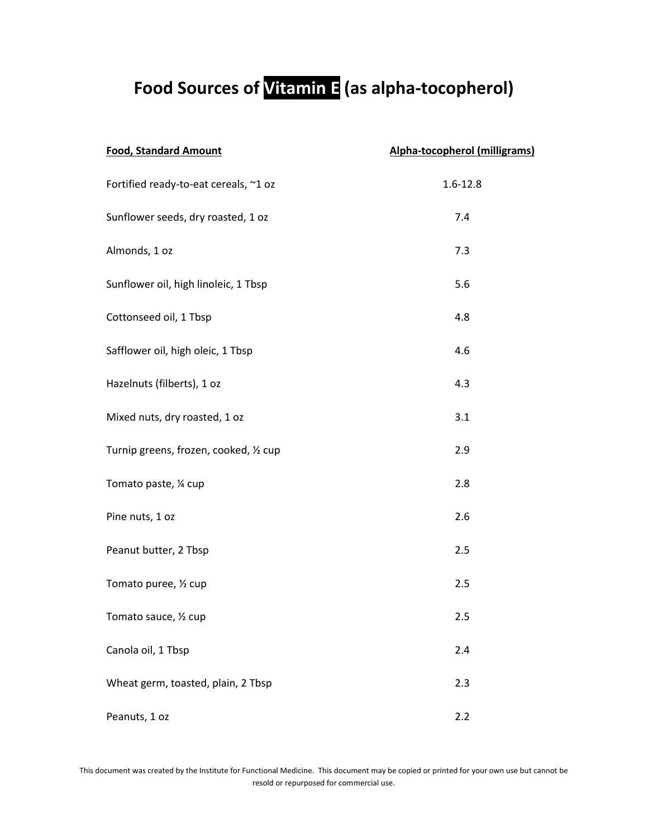## **Food Sources of Vitamin E (as alpha-tocopherol)**

| <b>Food, Standard Amount</b>           | Alpha-tocopherol (milligrams) |
|----------------------------------------|-------------------------------|
| Fortified ready-to-eat cereals, ~1 oz  | $1.6 - 12.8$                  |
| Sunflower seeds, dry roasted, 1 oz     | 7.4                           |
| Almonds, 1 oz                          | 7.3                           |
| Sunflower oil, high linoleic, 1 Tbsp   | 5.6                           |
| Cottonseed oil, 1 Tbsp                 | 4.8                           |
| Safflower oil, high oleic, 1 Tbsp      | 4.6                           |
| Hazelnuts (filberts), 1 oz             | 4.3                           |
| Mixed nuts, dry roasted, 1 oz          | 3.1                           |
| Turnip greens, frozen, cooked, 1/2 cup | 2.9                           |
| Tomato paste, 1/4 cup                  | 2.8                           |
| Pine nuts, 1 oz                        | 2.6                           |
| Peanut butter, 2 Tbsp                  | 2.5                           |
| Tomato puree, 1/2 cup                  | 2.5                           |
| Tomato sauce, 1/2 cup                  | 2.5                           |
| Canola oil, 1 Tbsp                     | 2.4                           |
| Wheat germ, toasted, plain, 2 Tbsp     | 2.3                           |
| Peanuts, 1 oz                          | 2.2                           |

This document was created by the Institute for Functional Medicine. This document may be copied or printed for your own use but cannot be resold or repurposed for commercial use.